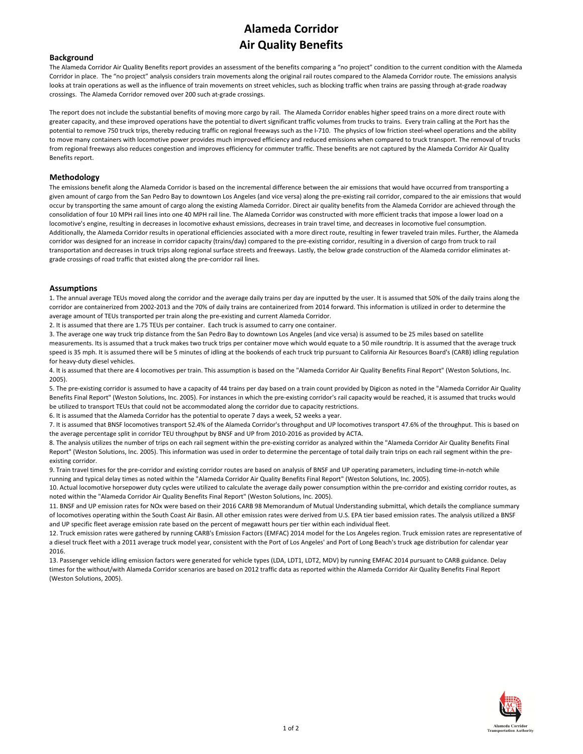### **Alameda Corridor Air Quality Benefits**

#### **Background**

The Alameda Corridor Air Quality Benefits report provides an assessment of the benefits comparing a "no project" condition to the current condition with the Alameda Corridor in place. The "no project" analysis considers train movements along the original rail routes compared to the Alameda Corridor route. The emissions analysis looks at train operations as well as the influence of train movements on street vehicles, such as blocking traffic when trains are passing through at‐grade roadway crossings. The Alameda Corridor removed over 200 such at‐grade crossings.

The report does not include the substantial benefits of moving more cargo by rail. The Alameda Corridor enables higher speed trains on a more direct route with greater capacity, and these improved operations have the potential to divert significant traffic volumes from trucks to trains. Every train calling at the Port has the potential to remove 750 truck trips, thereby reducing traffic on regional freeways such as the I‐710. The physics of low friction steel‐wheel operations and the ability to move many containers with locomotive power provides much improved efficiency and reduced emissions when compared to truck transport. The removal of trucks from regional freeways also reduces congestion and improves efficiency for commuter traffic. These benefits are not captured by the Alameda Corridor Air Quality Benefits report.

#### **Methodology**

The emissions benefit along the Alameda Corridor is based on the incremental difference between the air emissions that would have occurred from transporting a given amount of cargo from the San Pedro Bay to downtown Los Angeles (and vice versa) along the pre-existing rail corridor, compared to the air emissions that would occur by transporting the same amount of cargo along the existing Alameda Corridor. Direct air quality benefits from the Alameda Corridor are achieved through the consolidation of four 10 MPH rail lines into one 40 MPH rail line. The Alameda Corridor was constructed with more efficient tracks that impose a lower load on a locomotive's engine, resulting in decreases in locomotive exhaust emissions, decreases in train travel time, and decreases in locomotive fuel consumption. Additionally, the Alameda Corridor results in operational efficiencies associated with a more direct route, resulting in fewer traveled train miles. Further, the Alameda corridor was designed for an increase in corridor capacity (trains/day) compared to the pre-existing corridor, resulting in a diversion of cargo from truck to rail transportation and decreases in truck trips along regional surface streets and freeways. Lastly, the below grade construction of the Alameda corridor eliminates at‐ grade crossings of road traffic that existed along the pre‐corridor rail lines.

#### **Assumptions**

1. The annual average TEUs moved along the corridor and the average daily trains per day are inputted by the user. It is assumed that 50% of the daily trains along the corridor are containerized from 2002‐2013 and the 70% of daily trains are containerized from 2014 forward. This information is utilized in order to determine the average amount of TEUs transported per train along the pre‐existing and current Alameda Corridor.

2. It is assumed that there are 1.75 TEUs per container. Each truck is assumed to carry one container.

3. The average one way truck trip distance from the San Pedro Bay to downtown Los Angeles (and vice versa) is assumed to be 25 miles based on satellite measurements. Its is assumed that a truck makes two truck trips per container move which would equate to a 50 mile roundtrip. It is assumed that the average truck speed is 35 mph. It is assumed there will be 5 minutes of idling at the bookends of each truck trip pursuant to California Air Resources Board's (CARB) idling regulation for heavy‐duty diesel vehicles.

4. It is assumed that there are 4 locomotives per train. This assumption is based on the "Alameda Corridor Air Quality Benefits Final Report" (Weston Solutions, Inc. 2005).

5. The pre-existing corridor is assumed to have a capacity of 44 trains per day based on a train count provided by Digicon as noted in the "Alameda Corridor Air Quality Benefits Final Report" (Weston Solutions, Inc. 2005). For instances in which the pre‐existing corridor's rail capacity would be reached, it is assumed that trucks would be utilized to transport TEUs that could not be accommodated along the corridor due to capacity restrictions.

6. It is assumed that the Alameda Corridor has the potential to operate 7 days a week, 52 weeks a year.

7. It is assumed that BNSF locomotives transport 52.4% of the Alameda Corridor's throughput and UP locomotives transport 47.6% of the throughput. This is based on the average percentage split in corridor TEU throughput by BNSF and UP from 2010‐2016 as provided by ACTA.

8. The analysis utilizes the number of trips on each rail segment within the pre-existing corridor as analyzed within the "Alameda Corridor Air Quality Benefits Final Report" (Weston Solutions, Inc. 2005). This information was used in order to determine the percentage of total daily train trips on each rail segment within the preexisting corridor.

9. Train travel times for the pre-corridor and existing corridor routes are based on analysis of BNSF and UP operating parameters, including time-in-notch while running and typical delay times as noted within the "Alameda Corridor Air Quality Benefits Final Report" (Weston Solutions, Inc. 2005).

10. Actual locomotive horsepower duty cycles were utilized to calculate the average daily power consumption within the pre-corridor and existing corridor routes, as noted within the "Alameda Corridor Air Quality Benefits Final Report" (Weston Solutions, Inc. 2005).

11. BNSF and UP emission rates for NOx were based on their 2016 CARB 98 Memorandum of Mutual Understanding submittal, which details the compliance summary of locomotives operating within the South Coast Air Basin. All other emission rates were derived from U.S. EPA tier based emission rates. The analysis utilized a BNSF and UP specific fleet average emission rate based on the percent of megawatt hours per tier within each individual fleet.

12. Truck emission rates were gathered by running CARB's Emission Factors (EMFAC) 2014 model for the Los Angeles region. Truck emission rates are representative of a diesel truck fleet with a 2011 average truck model year, consistent with the Port of Los Angeles' and Port of Long Beach's truck age distribution for calendar year 2016.

13. Passenger vehicle idling emission factors were generated for vehicle types (LDA, LDT1, LDT2, MDV) by running EMFAC 2014 pursuant to CARB guidance. Delay times for the without/with Alameda Corridor scenarios are based on 2012 traffic data as reported within the Alameda Corridor Air Quality Benefits Final Report (Weston Solutions, 2005).